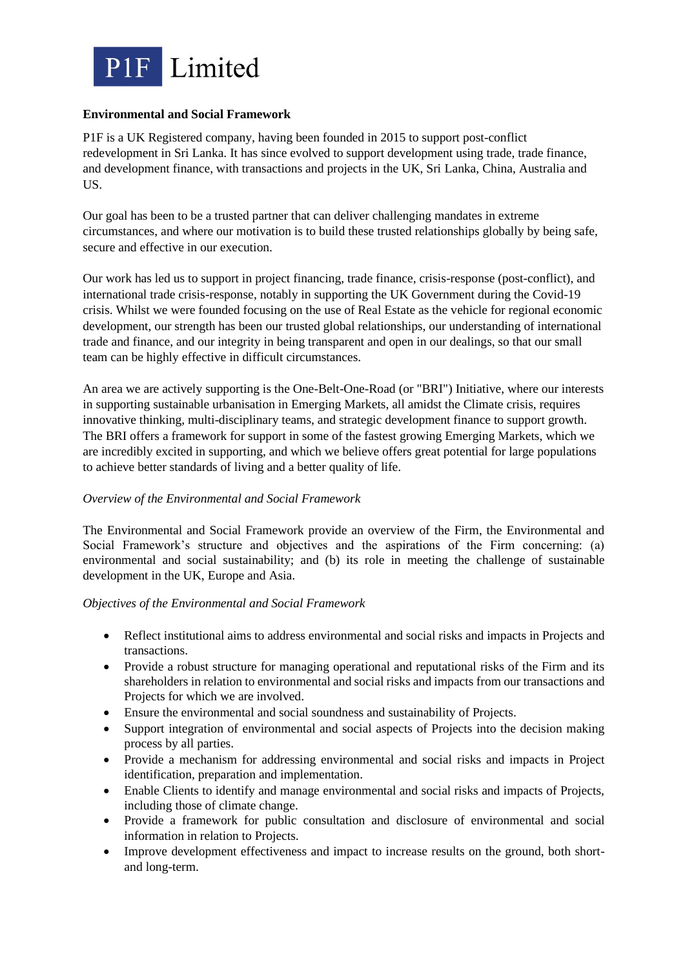

# **Environmental and Social Framework**

P1F is a UK Registered company, having been founded in 2015 to support post-conflict redevelopment in Sri Lanka. It has since evolved to support development using trade, trade finance, and development finance, with transactions and projects in the UK, Sri Lanka, China, Australia and US.

Our goal has been to be a trusted partner that can deliver challenging mandates in extreme circumstances, and where our motivation is to build these trusted relationships globally by being safe, secure and effective in our execution.

Our work has led us to support in project financing, trade finance, crisis-response (post-conflict), and international trade crisis-response, notably in supporting the UK Government during the Covid-19 crisis. Whilst we were founded focusing on the use of Real Estate as the vehicle for regional economic development, our strength has been our trusted global relationships, our understanding of international trade and finance, and our integrity in being transparent and open in our dealings, so that our small team can be highly effective in difficult circumstances.

An area we are actively supporting is the One-Belt-One-Road (or "BRI") Initiative, where our interests in supporting sustainable urbanisation in Emerging Markets, all amidst the Climate crisis, requires innovative thinking, multi-disciplinary teams, and strategic development finance to support growth. The BRI offers a framework for support in some of the fastest growing Emerging Markets, which we are incredibly excited in supporting, and which we believe offers great potential for large populations to achieve better standards of living and a better quality of life.

## *Overview of the Environmental and Social Framework*

The Environmental and Social Framework provide an overview of the Firm, the Environmental and Social Framework's structure and objectives and the aspirations of the Firm concerning: (a) environmental and social sustainability; and (b) its role in meeting the challenge of sustainable development in the UK, Europe and Asia.

## *Objectives of the Environmental and Social Framework*

- Reflect institutional aims to address environmental and social risks and impacts in Projects and transactions.
- Provide a robust structure for managing operational and reputational risks of the Firm and its shareholders in relation to environmental and social risks and impacts from our transactions and Projects for which we are involved.
- Ensure the environmental and social soundness and sustainability of Projects.
- Support integration of environmental and social aspects of Projects into the decision making process by all parties.
- Provide a mechanism for addressing environmental and social risks and impacts in Project identification, preparation and implementation.
- Enable Clients to identify and manage environmental and social risks and impacts of Projects, including those of climate change.
- Provide a framework for public consultation and disclosure of environmental and social information in relation to Projects.
- Improve development effectiveness and impact to increase results on the ground, both shortand long-term.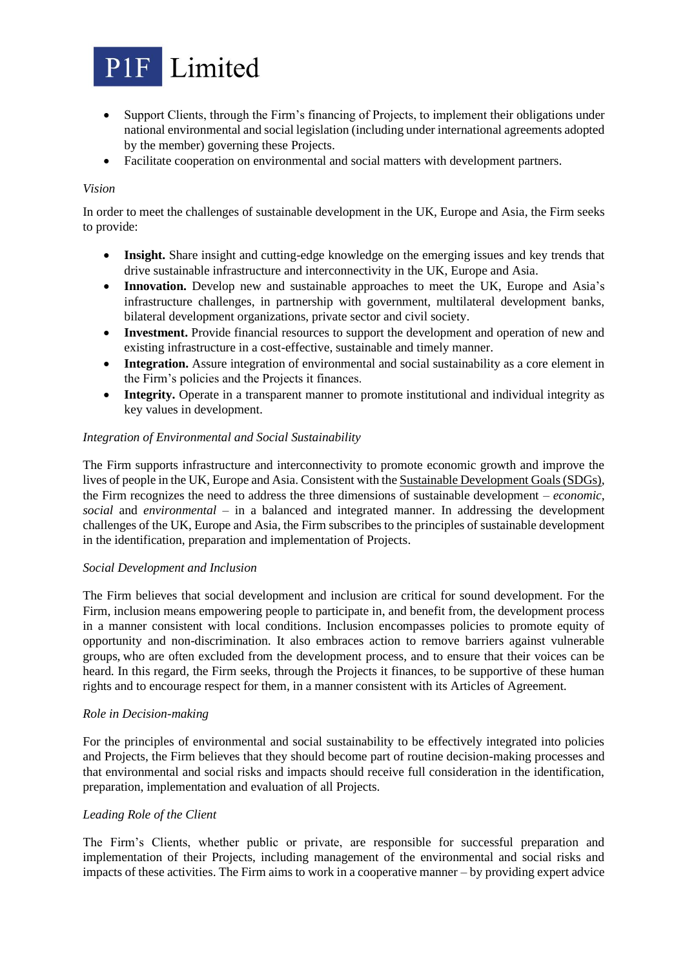

- Support Clients, through the Firm's financing of Projects, to implement their obligations under national environmental and social legislation (including under international agreements adopted by the member) governing these Projects.
- Facilitate cooperation on environmental and social matters with development partners.

### *Vision*

In order to meet the challenges of sustainable development in the UK, Europe and Asia, the Firm seeks to provide:

- **Insight.** Share insight and cutting-edge knowledge on the emerging issues and key trends that drive sustainable infrastructure and interconnectivity in the UK, Europe and Asia.
- **Innovation.** Develop new and sustainable approaches to meet the UK, Europe and Asia's infrastructure challenges, in partnership with government, multilateral development banks, bilateral development organizations, private sector and civil society.
- **Investment.** Provide financial resources to support the development and operation of new and existing infrastructure in a cost-effective, sustainable and timely manner.
- **Integration.** Assure integration of environmental and social sustainability as a core element in the Firm's policies and the Projects it finances.
- **Integrity.** Operate in a transparent manner to promote institutional and individual integrity as key values in development.

## *Integration of Environmental and Social Sustainability*

The Firm supports infrastructure and interconnectivity to promote economic growth and improve the lives of people in the UK, Europe and Asia. Consistent with the Sustainable Development Goals (SDGs), the Firm recognizes the need to address the three dimensions of sustainable development – *economic*, *social* and *environmental* – in a balanced and integrated manner. In addressing the development challenges of the UK, Europe and Asia, the Firm subscribes to the principles of sustainable development in the identification, preparation and implementation of Projects.

#### *Social Development and Inclusion*

The Firm believes that social development and inclusion are critical for sound development. For the Firm, inclusion means empowering people to participate in, and benefit from, the development process in a manner consistent with local conditions. Inclusion encompasses policies to promote equity of opportunity and non-discrimination. It also embraces action to remove barriers against vulnerable groups, who are often excluded from the development process, and to ensure that their voices can be heard. In this regard, the Firm seeks, through the Projects it finances, to be supportive of these human rights and to encourage respect for them, in a manner consistent with its Articles of Agreement.

#### *Role in Decision-making*

For the principles of environmental and social sustainability to be effectively integrated into policies and Projects, the Firm believes that they should become part of routine decision-making processes and that environmental and social risks and impacts should receive full consideration in the identification, preparation, implementation and evaluation of all Projects.

### *Leading Role of the Client*

The Firm's Clients, whether public or private, are responsible for successful preparation and implementation of their Projects, including management of the environmental and social risks and impacts of these activities. The Firm aims to work in a cooperative manner – by providing expert advice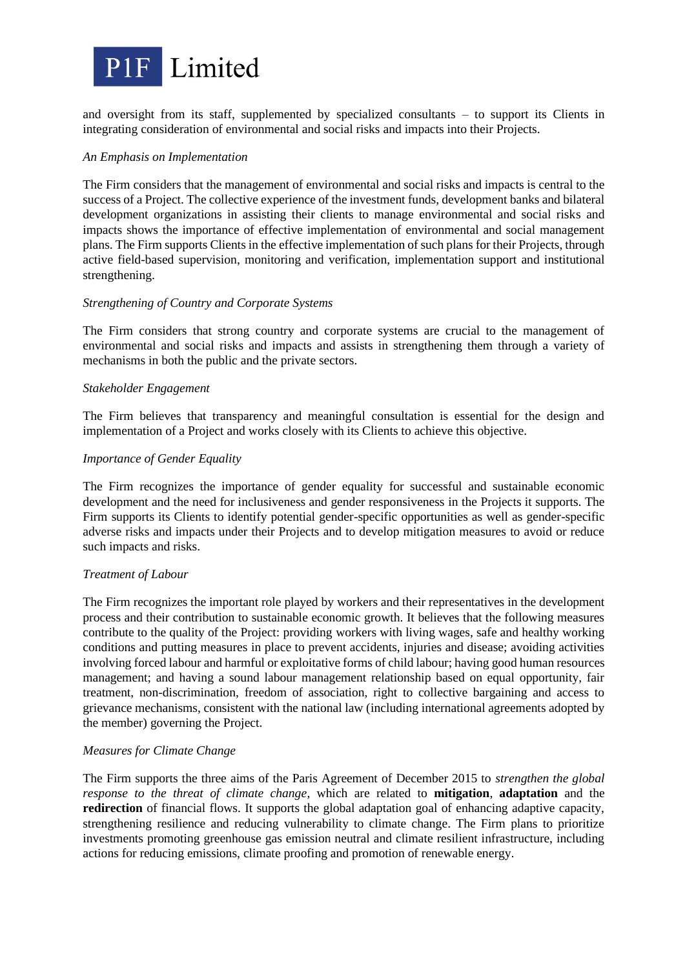

and oversight from its staff, supplemented by specialized consultants – to support its Clients in integrating consideration of environmental and social risks and impacts into their Projects.

## *An Emphasis on Implementation*

The Firm considers that the management of environmental and social risks and impacts is central to the success of a Project. The collective experience of the investment funds, development banks and bilateral development organizations in assisting their clients to manage environmental and social risks and impacts shows the importance of effective implementation of environmental and social management plans. The Firm supports Clients in the effective implementation of such plans for their Projects, through active field-based supervision, monitoring and verification, implementation support and institutional strengthening.

### *Strengthening of Country and Corporate Systems*

The Firm considers that strong country and corporate systems are crucial to the management of environmental and social risks and impacts and assists in strengthening them through a variety of mechanisms in both the public and the private sectors.

### *Stakeholder Engagement*

The Firm believes that transparency and meaningful consultation is essential for the design and implementation of a Project and works closely with its Clients to achieve this objective.

### *Importance of Gender Equality*

The Firm recognizes the importance of gender equality for successful and sustainable economic development and the need for inclusiveness and gender responsiveness in the Projects it supports. The Firm supports its Clients to identify potential gender-specific opportunities as well as gender-specific adverse risks and impacts under their Projects and to develop mitigation measures to avoid or reduce such impacts and risks.

## *Treatment of Labour*

The Firm recognizes the important role played by workers and their representatives in the development process and their contribution to sustainable economic growth. It believes that the following measures contribute to the quality of the Project: providing workers with living wages, safe and healthy working conditions and putting measures in place to prevent accidents, injuries and disease; avoiding activities involving forced labour and harmful or exploitative forms of child labour; having good human resources management; and having a sound labour management relationship based on equal opportunity, fair treatment, non-discrimination, freedom of association, right to collective bargaining and access to grievance mechanisms, consistent with the national law (including international agreements adopted by the member) governing the Project.

## *Measures for Climate Change*

The Firm supports the three aims of the Paris Agreement of December 2015 to *strengthen the global response to the threat of climate change*, which are related to **mitigation**, **adaptation** and the **redirection** of financial flows. It supports the global adaptation goal of enhancing adaptive capacity, strengthening resilience and reducing vulnerability to climate change. The Firm plans to prioritize investments promoting greenhouse gas emission neutral and climate resilient infrastructure, including actions for reducing emissions, climate proofing and promotion of renewable energy.